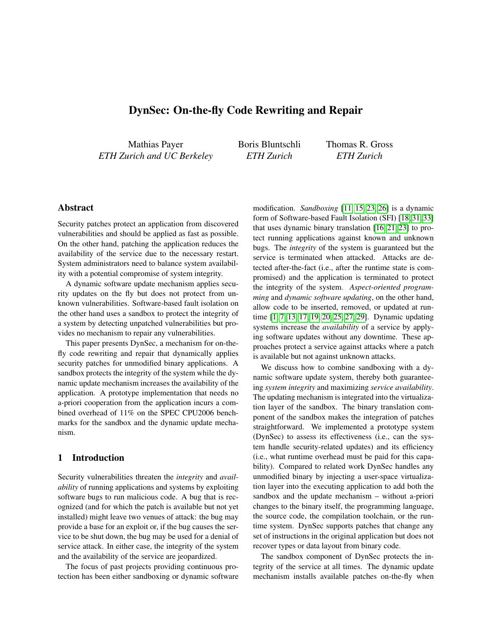# DynSec: On-the-fly Code Rewriting and Repair

Mathias Payer *ETH Zurich and UC Berkeley* Boris Bluntschli *ETH Zurich*

Thomas R. Gross *ETH Zurich*

# Abstract

Security patches protect an application from discovered vulnerabilities and should be applied as fast as possible. On the other hand, patching the application reduces the availability of the service due to the necessary restart. System administrators need to balance system availability with a potential compromise of system integrity.

A dynamic software update mechanism applies security updates on the fly but does not protect from unknown vulnerabilities. Software-based fault isolation on the other hand uses a sandbox to protect the integrity of a system by detecting unpatched vulnerabilities but provides no mechanism to repair any vulnerabilities.

This paper presents DynSec, a mechanism for on-thefly code rewriting and repair that dynamically applies security patches for unmodified binary applications. A sandbox protects the integrity of the system while the dynamic update mechanism increases the availability of the application. A prototype implementation that needs no a-priori cooperation from the application incurs a combined overhead of 11% on the SPEC CPU2006 benchmarks for the sandbox and the dynamic update mechanism.

### 1 Introduction

Security vulnerabilities threaten the *integrity* and *availability* of running applications and systems by exploiting software bugs to run malicious code. A bug that is recognized (and for which the patch is available but not yet installed) might leave two venues of attack: the bug may provide a base for an exploit or, if the bug causes the service to be shut down, the bug may be used for a denial of service attack. In either case, the integrity of the system and the availability of the service are jeopardized.

The focus of past projects providing continuous protection has been either sandboxing or dynamic software modification. *Sandboxing* [\[11,](#page-5-0) [15,](#page-5-1) [23,](#page-5-2) [26\]](#page-5-3) is a dynamic form of Software-based Fault Isolation (SFI) [\[18,](#page-5-4) [31,](#page-5-5) [33\]](#page-5-6) that uses dynamic binary translation [\[16,](#page-5-7) [21,](#page-5-8) [23\]](#page-5-2) to protect running applications against known and unknown bugs. The *integrity* of the system is guaranteed but the service is terminated when attacked. Attacks are detected after-the-fact (i.e., after the runtime state is compromised) and the application is terminated to protect the integrity of the system. *Aspect-oriented programming* and *dynamic software updating*, on the other hand, allow code to be inserted, removed, or updated at runtime [\[1,](#page-5-9) [7,](#page-5-10) [13,](#page-5-11) [17,](#page-5-12) [19,](#page-5-13) [20,](#page-5-14) [25,](#page-5-15) [27,](#page-5-16) [29\]](#page-5-17). Dynamic updating systems increase the *availability* of a service by applying software updates without any downtime. These approaches protect a service against attacks where a patch is available but not against unknown attacks.

We discuss how to combine sandboxing with a dynamic software update system, thereby both guaranteeing *system integrity* and maximizing *service availability*. The updating mechanism is integrated into the virtualization layer of the sandbox. The binary translation component of the sandbox makes the integration of patches straightforward. We implemented a prototype system (DynSec) to assess its effectiveness (i.e., can the system handle security-related updates) and its efficiency (i.e., what runtime overhead must be paid for this capability). Compared to related work DynSec handles any unmodified binary by injecting a user-space virtualization layer into the executing application to add both the sandbox and the update mechanism – without a-priori changes to the binary itself, the programming language, the source code, the compilation toolchain, or the runtime system. DynSec supports patches that change any set of instructions in the original application but does not recover types or data layout from binary code.

The sandbox component of DynSec protects the integrity of the service at all times. The dynamic update mechanism installs available patches on-the-fly when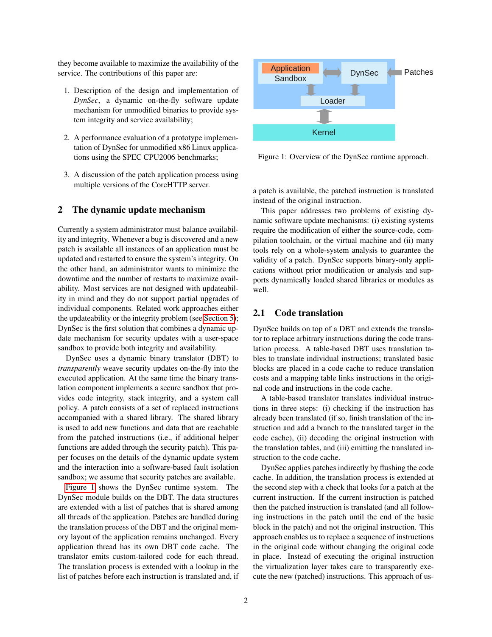they become available to maximize the availability of the service. The contributions of this paper are:

- 1. Description of the design and implementation of *DynSec*, a dynamic on-the-fly software update mechanism for unmodified binaries to provide system integrity and service availability;
- 2. A performance evaluation of a prototype implementation of DynSec for unmodified x86 Linux applications using the SPEC CPU2006 benchmarks;
- 3. A discussion of the patch application process using multiple versions of the CoreHTTP server.

### <span id="page-1-1"></span>2 The dynamic update mechanism

Currently a system administrator must balance availability and integrity. Whenever a bug is discovered and a new patch is available all instances of an application must be updated and restarted to ensure the system's integrity. On the other hand, an administrator wants to minimize the downtime and the number of restarts to maximize availability. Most services are not designed with updateability in mind and they do not support partial upgrades of individual components. Related work approaches either the updateability or the integrity problem (see [Section 5\)](#page-4-0); DynSec is the first solution that combines a dynamic update mechanism for security updates with a user-space sandbox to provide both integrity and availability.

DynSec uses a dynamic binary translator (DBT) to *transparently* weave security updates on-the-fly into the executed application. At the same time the binary translation component implements a secure sandbox that provides code integrity, stack integrity, and a system call policy. A patch consists of a set of replaced instructions accompanied with a shared library. The shared library is used to add new functions and data that are reachable from the patched instructions (i.e., if additional helper functions are added through the security patch). This paper focuses on the details of the dynamic update system and the interaction into a software-based fault isolation sandbox; we assume that security patches are available.

[Figure 1](#page-1-0) shows the DynSec runtime system. The DynSec module builds on the DBT. The data structures are extended with a list of patches that is shared among all threads of the application. Patches are handled during the translation process of the DBT and the original memory layout of the application remains unchanged. Every application thread has its own DBT code cache. The translator emits custom-tailored code for each thread. The translation process is extended with a lookup in the list of patches before each instruction is translated and, if



<span id="page-1-0"></span>Figure 1: Overview of the DynSec runtime approach.

a patch is available, the patched instruction is translated instead of the original instruction.

This paper addresses two problems of existing dynamic software update mechanisms: (i) existing systems require the modification of either the source-code, compilation toolchain, or the virtual machine and (ii) many tools rely on a whole-system analysis to guarantee the validity of a patch. DynSec supports binary-only applications without prior modification or analysis and supports dynamically loaded shared libraries or modules as well.

#### 2.1 Code translation

DynSec builds on top of a DBT and extends the translator to replace arbitrary instructions during the code translation process. A table-based DBT uses translation tables to translate individual instructions; translated basic blocks are placed in a code cache to reduce translation costs and a mapping table links instructions in the original code and instructions in the code cache.

A table-based translator translates individual instructions in three steps: (i) checking if the instruction has already been translated (if so, finish translation of the instruction and add a branch to the translated target in the code cache), (ii) decoding the original instruction with the translation tables, and (iii) emitting the translated instruction to the code cache.

DynSec applies patches indirectly by flushing the code cache. In addition, the translation process is extended at the second step with a check that looks for a patch at the current instruction. If the current instruction is patched then the patched instruction is translated (and all following instructions in the patch until the end of the basic block in the patch) and not the original instruction. This approach enables us to replace a sequence of instructions in the original code without changing the original code in place. Instead of executing the original instruction the virtualization layer takes care to transparently execute the new (patched) instructions. This approach of us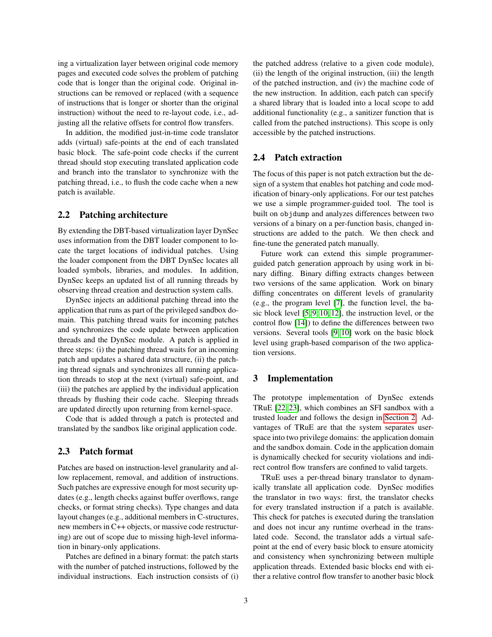ing a virtualization layer between original code memory pages and executed code solves the problem of patching code that is longer than the original code. Original instructions can be removed or replaced (with a sequence of instructions that is longer or shorter than the original instruction) without the need to re-layout code, i.e., adjusting all the relative offsets for control flow transfers.

In addition, the modified just-in-time code translator adds (virtual) safe-points at the end of each translated basic block. The safe-point code checks if the current thread should stop executing translated application code and branch into the translator to synchronize with the patching thread, i.e., to flush the code cache when a new patch is available.

#### 2.2 Patching architecture

By extending the DBT-based virtualization layer DynSec uses information from the DBT loader component to locate the target locations of individual patches. Using the loader component from the DBT DynSec locates all loaded symbols, libraries, and modules. In addition, DynSec keeps an updated list of all running threads by observing thread creation and destruction system calls.

DynSec injects an additional patching thread into the application that runs as part of the privileged sandbox domain. This patching thread waits for incoming patches and synchronizes the code update between application threads and the DynSec module. A patch is applied in three steps: (i) the patching thread waits for an incoming patch and updates a shared data structure, (ii) the patching thread signals and synchronizes all running application threads to stop at the next (virtual) safe-point, and (iii) the patches are applied by the individual application threads by flushing their code cache. Sleeping threads are updated directly upon returning from kernel-space.

Code that is added through a patch is protected and translated by the sandbox like original application code.

### 2.3 Patch format

Patches are based on instruction-level granularity and allow replacement, removal, and addition of instructions. Such patches are expressive enough for most security updates (e.g., length checks against buffer overflows, range checks, or format string checks). Type changes and data layout changes (e.g., additional members in C-structures, new members in C++ objects, or massive code restructuring) are out of scope due to missing high-level information in binary-only applications.

Patches are defined in a binary format: the patch starts with the number of patched instructions, followed by the individual instructions. Each instruction consists of (i) the patched address (relative to a given code module), (ii) the length of the original instruction, (iii) the length of the patched instruction, and (iv) the machine code of the new instruction. In addition, each patch can specify a shared library that is loaded into a local scope to add additional functionality (e.g., a sanitizer function that is called from the patched instructions). This scope is only accessible by the patched instructions.

### 2.4 Patch extraction

The focus of this paper is not patch extraction but the design of a system that enables hot patching and code modification of binary-only applications. For our test patches we use a simple programmer-guided tool. The tool is built on objdump and analyzes differences between two versions of a binary on a per-function basis, changed instructions are added to the patch. We then check and fine-tune the generated patch manually.

Future work can extend this simple programmerguided patch generation approach by using work in binary diffing. Binary diffing extracts changes between two versions of the same application. Work on binary diffing concentrates on different levels of granularity (e.g., the program level [\[7\]](#page-5-10), the function level, the basic block level [\[5,](#page-5-18) [9,](#page-5-19) [10,](#page-5-20) [12\]](#page-5-21), the instruction level, or the control flow [\[14\]](#page-5-22)) to define the differences between two versions. Several tools [\[9,](#page-5-19) [10\]](#page-5-20) work on the basic block level using graph-based comparison of the two application versions.

### 3 Implementation

The prototype implementation of DynSec extends TRuE [\[22,](#page-5-23) [23\]](#page-5-2), which combines an SFI sandbox with a trusted loader and follows the design in [Section 2.](#page-1-1) Advantages of TRuE are that the system separates userspace into two privilege domains: the application domain and the sandbox domain. Code in the application domain is dynamically checked for security violations and indirect control flow transfers are confined to valid targets.

TRuE uses a per-thread binary translator to dynamically translate all application code. DynSec modifies the translator in two ways: first, the translator checks for every translated instruction if a patch is available. This check for patches is executed during the translation and does not incur any runtime overhead in the translated code. Second, the translator adds a virtual safepoint at the end of every basic block to ensure atomicity and consistency when synchronizing between multiple application threads. Extended basic blocks end with either a relative control flow transfer to another basic block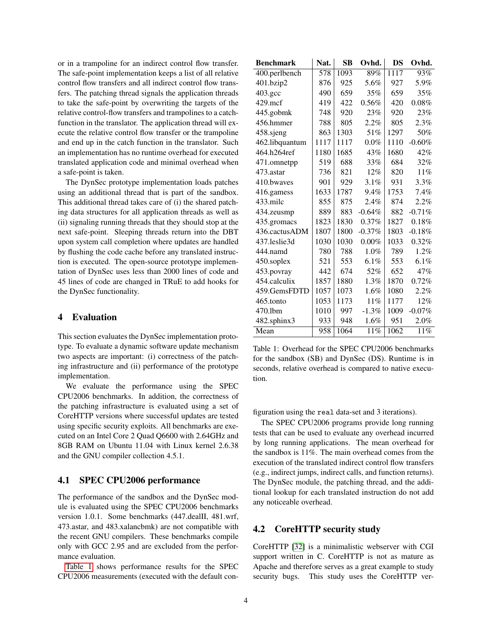or in a trampoline for an indirect control flow transfer. The safe-point implementation keeps a list of all relative control flow transfers and all indirect control flow transfers. The patching thread signals the application threads to take the safe-point by overwriting the targets of the relative control-flow transfers and trampolines to a catchfunction in the translator. The application thread will execute the relative control flow transfer or the trampoline and end up in the catch function in the translator. Such an implementation has no runtime overhead for executed translated application code and minimal overhead when a safe-point is taken.

The DynSec prototype implementation loads patches using an additional thread that is part of the sandbox. This additional thread takes care of (i) the shared patching data structures for all application threads as well as (ii) signaling running threads that they should stop at the next safe-point. Sleeping threads return into the DBT upon system call completion where updates are handled by flushing the code cache before any translated instruction is executed. The open-source prototype implementation of DynSec uses less than 2000 lines of code and 45 lines of code are changed in TRuE to add hooks for the DynSec functionality.

### 4 Evaluation

This section evaluates the DynSec implementation prototype. To evaluate a dynamic software update mechanism two aspects are important: (i) correctness of the patching infrastructure and (ii) performance of the prototype implementation.

We evaluate the performance using the SPEC CPU2006 benchmarks. In addition, the correctness of the patching infrastructure is evaluated using a set of CoreHTTP versions where successful updates are tested using specific security exploits. All benchmarks are executed on an Intel Core 2 Quad Q6600 with 2.64GHz and 8GB RAM on Ubuntu 11.04 with Linux kernel 2.6.38 and the GNU compiler collection 4.5.1.

#### 4.1 SPEC CPU2006 performance

The performance of the sandbox and the DynSec module is evaluated using the SPEC CPU2006 benchmarks version 1.0.1. Some benchmarks (447.dealII, 481.wrf, 473.astar, and 483.xalancbmk) are not compatible with the recent GNU compilers. These benchmarks compile only with GCC 2.95 and are excluded from the performance evaluation.

[Table 1](#page-3-0) shows performance results for the SPEC CPU2006 measurements (executed with the default con-

| <b>Benchmark</b>   | Nat. | <b>SB</b> | Ovhd.    | DS   | Ovhd.    |
|--------------------|------|-----------|----------|------|----------|
| 400.perlbench      | 578  | 1093      | 89%      | 1117 | 93%      |
| 401.bzip2          | 876  | 925       | 5.6%     | 927  | 5.9%     |
| $403.\mathrm{gcc}$ | 490  | 659       | 35%      | 659  | 35%      |
| $429$ .mcf         | 419  | 422       | 0.56%    | 420  | $0.08\%$ |
| 445.gobmk          | 748  | 920       | 23%      | 920  | 23%      |
| 456.hmmer          | 788  | 805       | 2.2%     | 805  | 2.3%     |
| 458.sjeng          | 863  | 1303      | 51%      | 1297 | 50%      |
| 462.libquantum     | 1117 | 1117      | $0.0\%$  | 1110 | $-0.60%$ |
| 464.h264ref        | 1180 | 1685      | 43%      | 1680 | 42%      |
| 471.omnetpp        | 519  | 688       | 33%      | 684  | 32%      |
| 473.astar          | 736  | 821       | 12%      | 820  | 11%      |
| 410.bwayes         | 901  | 929       | 3.1%     | 931  | $3.3\%$  |
| 416.gamess         | 1633 | 1787      | 9.4%     | 1753 | 7.4%     |
| 433.milc           | 855  | 875       | 2.4%     | 874  | 2.2%     |
| 434.zeusmp         | 889  | 883       | $-0.64%$ | 882  | $-0.71%$ |
| 435.gromacs        | 1823 | 1830      | 0.37%    | 1827 | 0.18%    |
| 436.cactusADM      | 1807 | 1800      | $-0.37%$ | 1803 | $-0.18%$ |
| 437.leslie3d       | 1030 | 1030      | $0.00\%$ | 1033 | 0.32%    |
| 444.namd           | 780  | 788       | 1.0%     | 789  | 1.2%     |
| 450.soplex         | 521  | 553       | $6.1\%$  | 553  | $6.1\%$  |
| 453.povray         | 442  | 674       | 52%      | 652  | 47%      |
| 454.calculix       | 1857 | 1880      | 1.3%     | 1870 | 0.72%    |
| 459.GemsFDTD       | 1057 | 1073      | 1.6%     | 1080 | 2.2%     |
| 465.tonto          | 1053 | 1173      | 11%      | 1177 | 12%      |
| 470.1bm            | 1010 | 997       | $-1.3%$  | 1009 | $-0.07%$ |
| 482.sphinx3        | 933  | 948       | 1.6%     | 951  | 2.0%     |
| Mean               | 958  | 1064      | 11%      | 1062 | 11%      |

<span id="page-3-0"></span>Table 1: Overhead for the SPEC CPU2006 benchmarks for the sandbox (SB) and DynSec (DS). Runtime is in seconds, relative overhead is compared to native execution.

figuration using the real data-set and 3 iterations).

The SPEC CPU2006 programs provide long running tests that can be used to evaluate any overhead incurred by long running applications. The mean overhead for the sandbox is 11%. The main overhead comes from the execution of the translated indirect control flow transfers (e.g., indirect jumps, indirect calls, and function returns). The DynSec module, the patching thread, and the additional lookup for each translated instruction do not add any noticeable overhead.

#### 4.2 CoreHTTP security study

CoreHTTP [\[32\]](#page-5-24) is a minimalistic webserver with CGI support written in C. CoreHTTP is not as mature as Apache and therefore serves as a great example to study security bugs. This study uses the CoreHTTP ver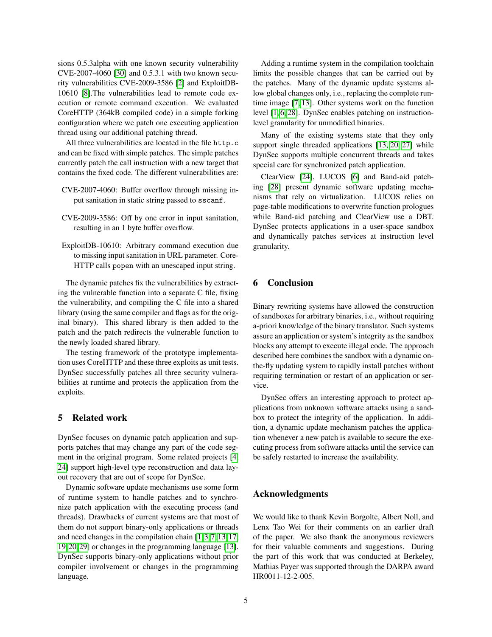sions 0.5.3alpha with one known security vulnerability CVE-2007-4060 [\[30\]](#page-5-25) and 0.5.3.1 with two known security vulnerabilities CVE-2009-3586 [\[2\]](#page-5-26) and ExploitDB-10610 [\[8\]](#page-5-27).The vulnerabilities lead to remote code execution or remote command execution. We evaluated CoreHTTP (364kB compiled code) in a simple forking configuration where we patch one executing application thread using our additional patching thread.

All three vulnerabilities are located in the file http.c and can be fixed with simple patches. The simple patches currently patch the call instruction with a new target that contains the fixed code. The different vulnerabilities are:

- CVE-2007-4060: Buffer overflow through missing input sanitation in static string passed to sscanf.
- CVE-2009-3586: Off by one error in input sanitation, resulting in an 1 byte buffer overflow.
- ExploitDB-10610: Arbitrary command execution due to missing input sanitation in URL parameter. Core-HTTP calls popen with an unescaped input string.

The dynamic patches fix the vulnerabilities by extracting the vulnerable function into a separate C file, fixing the vulnerability, and compiling the C file into a shared library (using the same compiler and flags as for the original binary). This shared library is then added to the patch and the patch redirects the vulnerable function to the newly loaded shared library.

The testing framework of the prototype implementation uses CoreHTTP and these three exploits as unit tests. DynSec successfully patches all three security vulnerabilities at runtime and protects the application from the exploits.

#### <span id="page-4-0"></span>5 Related work

DynSec focuses on dynamic patch application and supports patches that may change any part of the code segment in the original program. Some related projects [\[4,](#page-5-28) [24\]](#page-5-29) support high-level type reconstruction and data layout recovery that are out of scope for DynSec.

Dynamic software update mechanisms use some form of runtime system to handle patches and to synchronize patch application with the executing process (and threads). Drawbacks of current systems are that most of them do not support binary-only applications or threads and need changes in the compilation chain [\[1,](#page-5-9)[3,](#page-5-30)[7,](#page-5-10)[13,](#page-5-11)[17,](#page-5-12) [19,](#page-5-13)[20,](#page-5-14)[29\]](#page-5-17) or changes in the programming language [\[13\]](#page-5-11). DynSec supports binary-only applications without prior compiler involvement or changes in the programming language.

Adding a runtime system in the compilation toolchain limits the possible changes that can be carried out by the patches. Many of the dynamic update systems allow global changes only, i.e., replacing the complete runtime image [\[7,](#page-5-10) [13\]](#page-5-11). Other systems work on the function level [\[1,](#page-5-9) [6,](#page-5-31) [28\]](#page-5-32). DynSec enables patching on instructionlevel granularity for unmodified binaries.

Many of the existing systems state that they only support single threaded applications [\[13,](#page-5-11) [20,](#page-5-14) [27\]](#page-5-16) while DynSec supports multiple concurrent threads and takes special care for synchronized patch application.

ClearView [\[24\]](#page-5-29), LUCOS [\[6\]](#page-5-31) and Band-aid patching [\[28\]](#page-5-32) present dynamic software updating mechanisms that rely on virtualization. LUCOS relies on page-table modifications to overwrite function prologues while Band-aid patching and ClearView use a DBT. DynSec protects applications in a user-space sandbox and dynamically patches services at instruction level granularity.

# 6 Conclusion

Binary rewriting systems have allowed the construction of sandboxes for arbitrary binaries, i.e., without requiring a-priori knowledge of the binary translator. Such systems assure an application or system's integrity as the sandbox blocks any attempt to execute illegal code. The approach described here combines the sandbox with a dynamic onthe-fly updating system to rapidly install patches without requiring termination or restart of an application or service.

DynSec offers an interesting approach to protect applications from unknown software attacks using a sandbox to protect the integrity of the application. In addition, a dynamic update mechanism patches the application whenever a new patch is available to secure the executing process from software attacks until the service can be safely restarted to increase the availability.

# Acknowledgments

We would like to thank Kevin Borgolte, Albert Noll, and Lenx Tao Wei for their comments on an earlier draft of the paper. We also thank the anonymous reviewers for their valuable comments and suggestions. During the part of this work that was conducted at Berkeley, Mathias Payer was supported through the DARPA award HR0011-12-2-005.